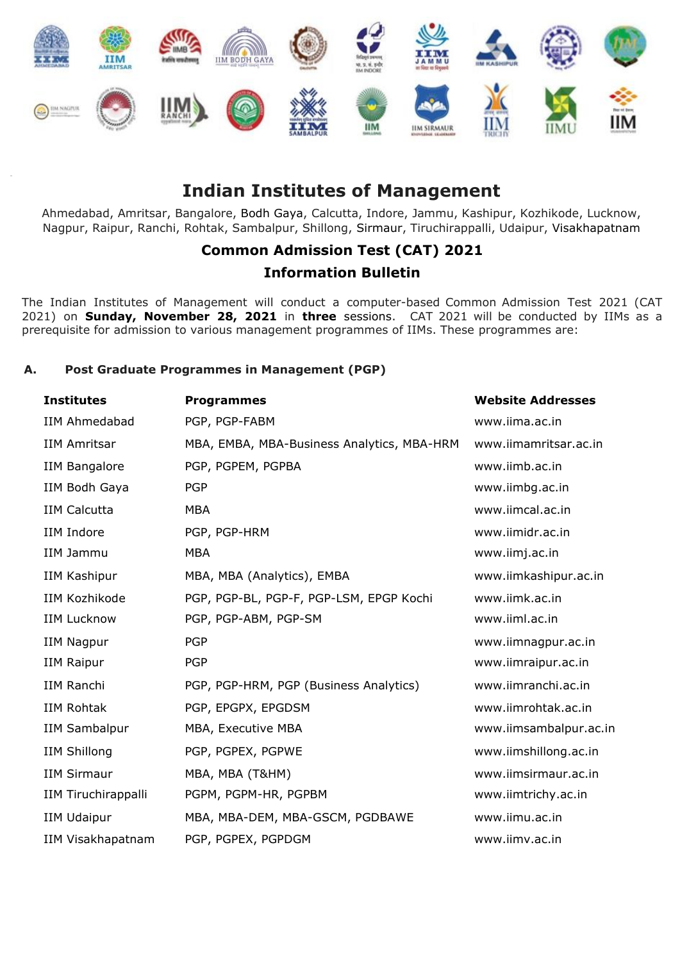

# **Indian Institutes of Management**

Ahmedabad, Amritsar, Bangalore, Bodh Gaya, Calcutta, Indore, Jammu, Kashipur, Kozhikode, Lucknow, Nagpur, Raipur, Ranchi, Rohtak, Sambalpur, Shillong, Sirmaur, Tiruchirappalli, Udaipur, Visakhapatnam

# **Common Admission Test (CAT) 2021**

# **Information Bulletin**

The Indian Institutes of Management will conduct a computer-based Common Admission Test 2021 (CAT 2021) on **Sunday, November 28, 2021** in **three** sessions. CAT 2021 will be conducted by IIMs as a prerequisite for admission to various management programmes of IIMs. These programmes are:

# **A. Post Graduate Programmes in Management (PGP)**

| <b>Institutes</b>    | <b>Programmes</b>                          | <b>Website Addresses</b> |
|----------------------|--------------------------------------------|--------------------------|
| IIM Ahmedabad        | PGP, PGP-FABM                              | www.iima.ac.in           |
| <b>IIM Amritsar</b>  | MBA, EMBA, MBA-Business Analytics, MBA-HRM | www.iimamritsar.ac.in    |
| <b>IIM Bangalore</b> | PGP, PGPEM, PGPBA                          | www.iimb.ac.in           |
| IIM Bodh Gaya        | <b>PGP</b>                                 | www.iimbg.ac.in          |
| <b>IIM Calcutta</b>  | <b>MBA</b>                                 | www.iimcal.ac.in         |
| <b>IIM Indore</b>    | PGP, PGP-HRM                               | www.iimidr.ac.in         |
| IIM Jammu            | <b>MBA</b>                                 | www.iimj.ac.in           |
| <b>IIM Kashipur</b>  | MBA, MBA (Analytics), EMBA                 | www.iimkashipur.ac.in    |
| <b>IIM Kozhikode</b> | PGP, PGP-BL, PGP-F, PGP-LSM, EPGP Kochi    | www.iimk.ac.in           |
| <b>IIM Lucknow</b>   | PGP, PGP-ABM, PGP-SM                       | www.iiml.ac.in           |
| <b>IIM Nagpur</b>    | <b>PGP</b>                                 | www.iimnagpur.ac.in      |
| <b>IIM Raipur</b>    | <b>PGP</b>                                 | www.iimraipur.ac.in      |
| <b>IIM Ranchi</b>    | PGP, PGP-HRM, PGP (Business Analytics)     | www.iimranchi.ac.in      |
| <b>IIM Rohtak</b>    | PGP, EPGPX, EPGDSM                         | www.iimrohtak.ac.in      |
| <b>IIM Sambalpur</b> | MBA, Executive MBA                         | www.iimsambalpur.ac.in   |
| <b>IIM Shillong</b>  | PGP, PGPEX, PGPWE                          | www.iimshillong.ac.in    |
| <b>IIM Sirmaur</b>   | MBA, MBA (T&HM)                            | www.iimsirmaur.ac.in     |
| IIM Tiruchirappalli  | PGPM, PGPM-HR, PGPBM                       | www.iimtrichy.ac.in      |
| <b>IIM Udaipur</b>   | MBA, MBA-DEM, MBA-GSCM, PGDBAWE            | www.iimu.ac.in           |
| IIM Visakhapatnam    | PGP, PGPEX, PGPDGM                         | www.iimv.ac.in           |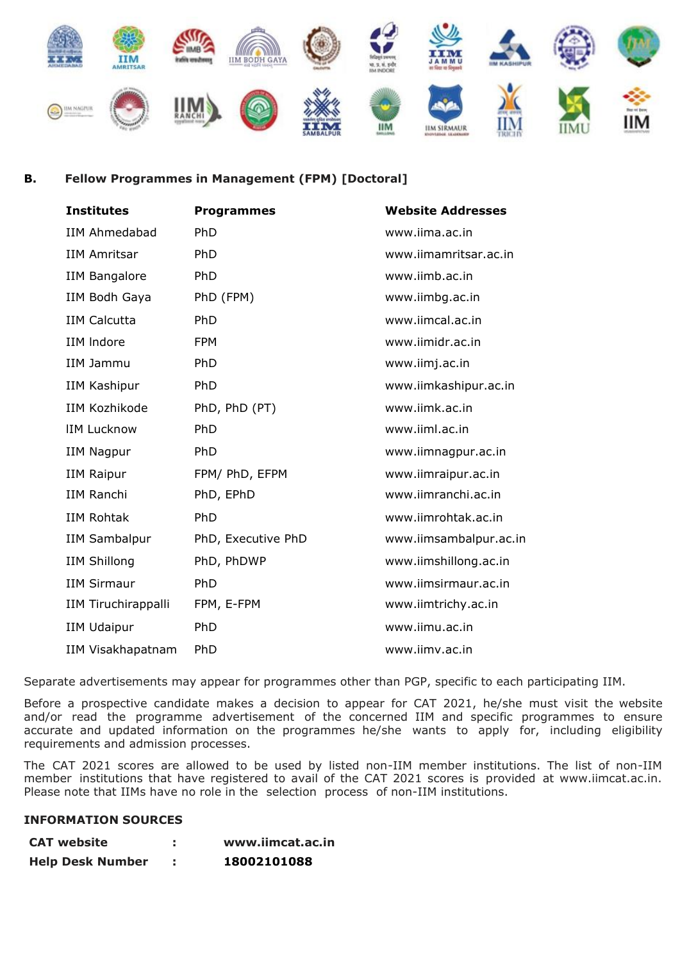

# **B. Fellow Programmes in Management (FPM) [Doctoral]**

| <b>Institutes</b>          | <b>Programmes</b>  | <b>Website Addresses</b> |
|----------------------------|--------------------|--------------------------|
| <b>IIM Ahmedabad</b>       | PhD                | www.iima.ac.in           |
| <b>IIM Amritsar</b>        | PhD                | www.iimamritsar.ac.in    |
| <b>IIM Bangalore</b>       | PhD                | www.iimb.ac.in           |
| IIM Bodh Gaya              | PhD (FPM)          | www.iimbg.ac.in          |
| <b>IIM Calcutta</b>        | PhD                | www.iimcal.ac.in         |
| <b>IIM</b> Indore          | <b>FPM</b>         | www.iimidr.ac.in         |
| IIM Jammu                  | PhD                | www.iimj.ac.in           |
| <b>IIM Kashipur</b>        | PhD                | www.iimkashipur.ac.in    |
| <b>IIM Kozhikode</b>       | PhD, PhD (PT)      | www.iimk.ac.in           |
| <b>IIM Lucknow</b>         | PhD                | www.iiml.ac.in           |
| <b>IIM Nagpur</b>          | PhD                | www.iimnagpur.ac.in      |
| <b>IIM Raipur</b>          | FPM/ PhD, EFPM     | www.iimraipur.ac.in      |
| <b>IIM Ranchi</b>          | PhD, EPhD          | www.iimranchi.ac.in      |
| <b>IIM Rohtak</b>          | PhD                | www.iimrohtak.ac.in      |
| <b>IIM Sambalpur</b>       | PhD, Executive PhD | www.iimsambalpur.ac.in   |
| <b>IIM Shillong</b>        | PhD, PhDWP         | www.iimshillong.ac.in    |
| <b>IIM Sirmaur</b>         | PhD.               | www.iimsirmaur.ac.in     |
| <b>IIM Tiruchirappalli</b> | FPM, E-FPM         | www.iimtrichy.ac.in      |
| <b>IIM Udaipur</b>         | PhD                | www.iimu.ac.in           |
| IIM Visakhapatnam          | PhD                | www.iimv.ac.in           |

Separate advertisements may appear for programmes other than PGP, specific to each participating IIM.

Before a prospective candidate makes a decision to appear for CAT 2021, he/she must visit the website and/or read the programme advertisement of the concerned IIM and specific programmes to ensure accurate and updated information on the programmes he/she wants to apply for, including eligibility requirements and admission processes.

The CAT 2021 scores are allowed to be used by listed non-IIM member institutions. The list of non-IIM member institutions that have registered to avail of the CAT 2021 scores is provided at www.iimcat.ac.in. Please note that IIMs have no role in the selection process of non-IIM institutions.

#### **INFORMATION SOURCES**

| <b>CAT</b> website      | www.iimcat.ac.in |
|-------------------------|------------------|
| <b>Help Desk Number</b> | 18002101088      |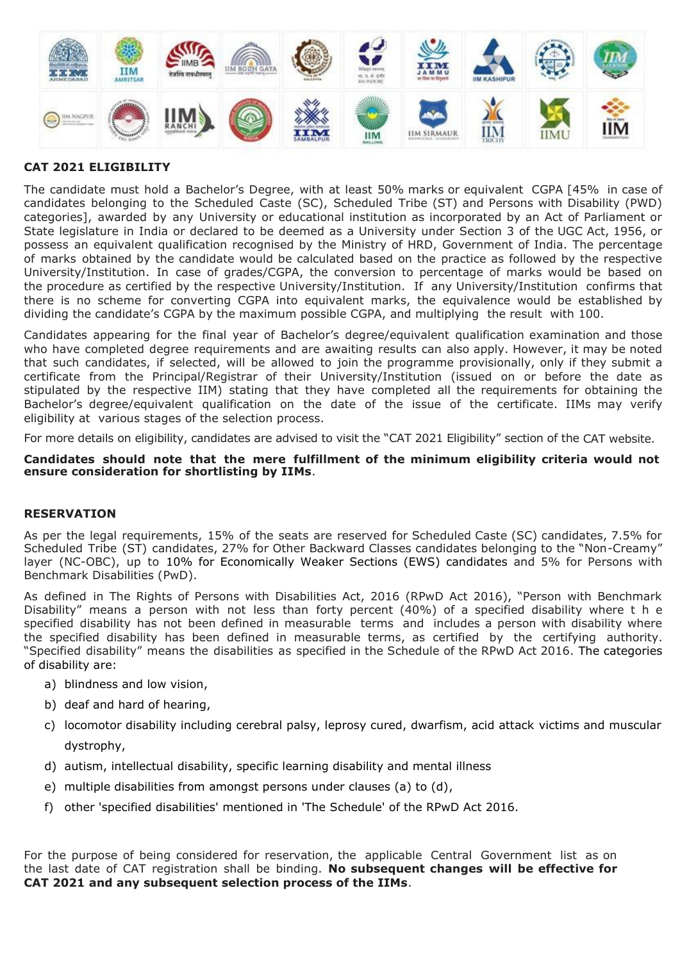

# **CAT 2021 ELIGIBILITY**

The candidate must hold a Bachelor's Degree, with at least 50% marks or equivalent CGPA [45% in case of candidates belonging to the Scheduled Caste (SC), Scheduled Tribe (ST) and Persons with Disability (PWD) categories], awarded by any University or educational institution as incorporated by an Act of Parliament or State legislature in India or declared to be deemed as a University under Section 3 of the UGC Act, 1956, or possess an equivalent qualification recognised by the Ministry of HRD, Government of India. The percentage of marks obtained by the candidate would be calculated based on the practice as followed by the respective University/Institution. In case of grades/CGPA, the conversion to percentage of marks would be based on the procedure as certified by the respective University/Institution. If any University/Institution confirms that there is no scheme for converting CGPA into equivalent marks, the equivalence would be established by dividing the candidate's CGPA by the maximum possible CGPA, and multiplying the result with 100.

Candidates appearing for the final year of Bachelor's degree/equivalent qualification examination and those who have completed degree requirements and are awaiting results can also apply. However, it may be noted that such candidates, if selected, will be allowed to join the programme provisionally, only if they submit a certificate from the Principal/Registrar of their University/Institution (issued on or before the date as stipulated by the respective IIM) stating that they have completed all the requirements for obtaining the Bachelor's degree/equivalent qualification on the date of the issue of the certificate. IIMs may verify eligibility at various stages of the selection process.

For more details on eligibility, candidates are advised to visit the "CAT 2021 Eligibility" section of the CAT website.

#### **Candidates should note that the mere fulfillment of the minimum eligibility criteria would not ensure consideration for shortlisting by IIMs**.

#### **RESERVATION**

As per the legal requirements, 15% of the seats are reserved for Scheduled Caste (SC) candidates, 7.5% for Scheduled Tribe (ST) candidates, 27% for Other Backward Classes candidates belonging to the "Non-Creamy" layer (NC-OBC), up to 10% for Economically Weaker Sections (EWS) candidates and 5% for Persons with Benchmark Disabilities (PwD).

As defined in The Rights of Persons with Disabilities Act, 2016 (RPwD Act 2016), "Person with Benchmark Disability" means a person with not less than forty percent (40%) of a specified disability where t h e specified disability has not been defined in measurable terms and includes a person with disability where the specified disability has been defined in measurable terms, as certified by the certifying authority. "Specified disability" means the disabilities as specified in the Schedule of the RPwD Act 2016. The categories of disability are:

- a) blindness and low vision,
- b) deaf and hard of hearing,
- c) locomotor disability including cerebral palsy, leprosy cured, dwarfism, acid attack victims and muscular dystrophy,
- d) autism, intellectual disability, specific learning disability and mental illness
- e) multiple disabilities from amongst persons under clauses (a) to (d),
- f) other 'specified disabilities' mentioned in 'The Schedule' of the RPwD Act 2016.

For the purpose of being considered for reservation, the applicable Central Government list as on the last date of CAT registration shall be binding. **No subsequent changes will be effective for CAT 2021 and any subsequent selection process of the IIMs**.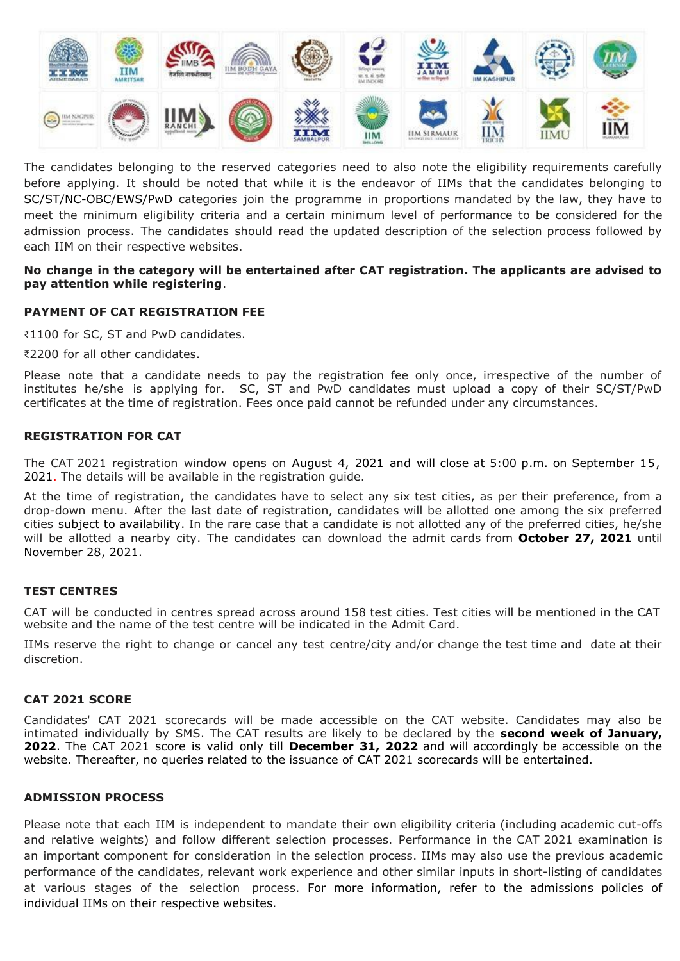

The candidates belonging to the reserved categories need to also note the eligibility requirements carefully before applying. It should be noted that while it is the endeavor of IIMs that the candidates belonging to SC/ST/NC-OBC/EWS/PwD categories join the programme in proportions mandated by the law, they have to meet the minimum eligibility criteria and a certain minimum level of performance to be considered for the admission process. The candidates should read the updated description of the selection process followed by each IIM on their respective websites.

#### **No change in the category will be entertained after CAT registration. The applicants are advised to pay attention while registering**.

# **PAYMENT OF CAT REGISTRATION FEE**

₹1100 for SC, ST and PwD candidates.

₹2200 for all other candidates.

Please note that a candidate needs to pay the registration fee only once, irrespective of the number of institutes he/she is applying for. SC, ST and PwD candidates must upload a copy of their SC/ST/PwD certificates at the time of registration. Fees once paid cannot be refunded under any circumstances.

#### **REGISTRATION FOR CAT**

The CAT 2021 registration window opens on August 4, 2021 and will close at 5:00 p.m. on September 15, 2021. The details will be available in the registration guide.

At the time of registration, the candidates have to select any six test cities, as per their preference, from a drop-down menu. After the last date of registration, candidates will be allotted one among the six preferred cities subject to availability. In the rare case that a candidate is not allotted any of the preferred cities, he/she will be allotted a nearby city. The candidates can download the admit cards from **October 27, 2021** until November 28, 2021.

#### **TEST CENTRES**

CAT will be conducted in centres spread across around 158 test cities. Test cities will be mentioned in the CAT website and the name of the test centre will be indicated in the Admit Card.

IIMs reserve the right to change or cancel any test centre/city and/or change the test time and date at their discretion.

#### **CAT 2021 SCORE**

Candidates' CAT 2021 scorecards will be made accessible on the CAT website. Candidates may also be intimated individually by SMS. The CAT results are likely to be declared by the **second week of January, 2022**. The CAT 2021 score is valid only till **December 31, 2022** and will accordingly be accessible on the website. Thereafter, no queries related to the issuance of CAT 2021 scorecards will be entertained.

#### **ADMISSION PROCESS**

Please note that each IIM is independent to mandate their own eligibility criteria (including academic cut-offs and relative weights) and follow different selection processes. Performance in the CAT 2021 examination is an important component for consideration in the selection process. IIMs may also use the previous academic performance of the candidates, relevant work experience and other similar inputs in short-listing of candidates at various stages of the selection process. For more information, refer to the admissions policies of individual IIMs on their respective websites.